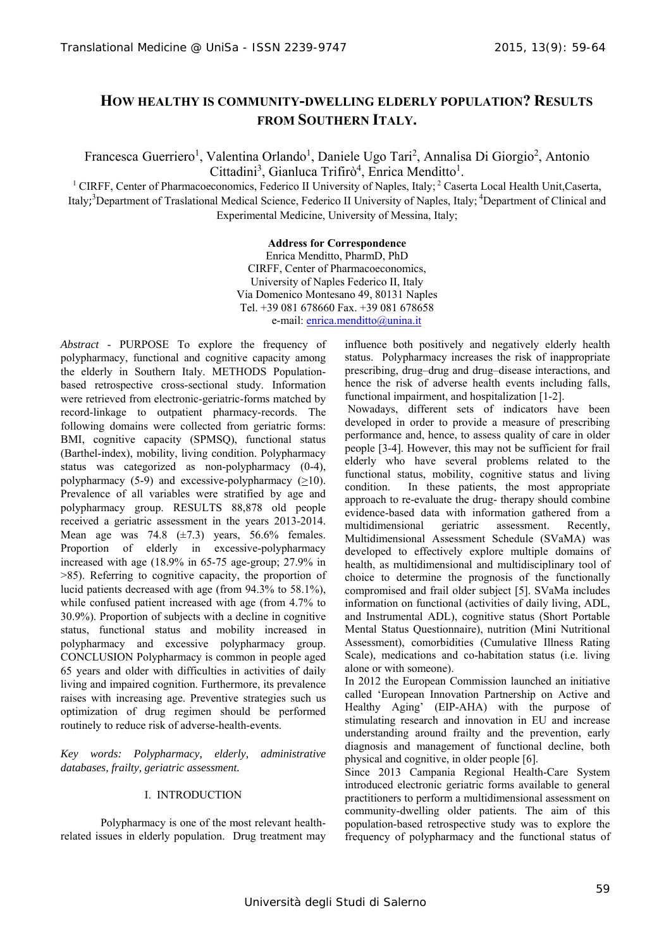# **HOW HEALTHY IS COMMUNITY-DWELLING ELDERLY POPULATION? RESULTS FROM SOUTHERN ITALY.**

Francesca Guerriero<sup>1</sup>, Valentina Orlando<sup>1</sup>, Daniele Ugo Tari<sup>2</sup>, Annalisa Di Giorgio<sup>2</sup>, Antonio Cittadini<sup>3</sup>, Gianluca Trifirò<sup>4</sup>, Enrica Menditto<sup>1</sup>.

<sup>1</sup> CIRFF, Center of Pharmacoeconomics, Federico II University of Naples, Italy; <sup>2</sup> Caserta Local Health Unit, Caserta, Italy;<sup>3</sup>Department of Traslational Medical Science, Federico II University of Naples, Italy;<sup>4</sup>Department of Clinical and Experimental Medicine, University of Messina, Italy;

## **Address for Correspondence**

Enrica Menditto, PharmD, PhD CIRFF, Center of Pharmacoeconomics, University of Naples Federico II, Italy Via Domenico Montesano 49, 80131 Naples Tel. +39 081 678660 Fax. +39 081 678658 e-mail: enrica.menditto@unina.it

*Abstract* - PURPOSE To explore the frequency of polypharmacy, functional and cognitive capacity among the elderly in Southern Italy. METHODS Populationbased retrospective cross-sectional study. Information were retrieved from electronic-geriatric-forms matched by record-linkage to outpatient pharmacy-records. The following domains were collected from geriatric forms: BMI, cognitive capacity (SPMSQ), functional status (Barthel-index), mobility, living condition. Polypharmacy status was categorized as non-polypharmacy (0-4), polypharmacy  $(5-9)$  and excessive-polypharmacy  $(>10)$ . Prevalence of all variables were stratified by age and polypharmacy group. RESULTS 88,878 old people received a geriatric assessment in the years 2013-2014. Mean age was  $74.8$  ( $\pm 7.3$ ) years,  $56.6\%$  females. Proportion of elderly in excessive-polypharmacy increased with age (18.9% in 65-75 age-group; 27.9% in >85). Referring to cognitive capacity, the proportion of lucid patients decreased with age (from 94.3% to 58.1%), while confused patient increased with age (from 4.7% to 30.9%). Proportion of subjects with a decline in cognitive status, functional status and mobility increased in polypharmacy and excessive polypharmacy group. CONCLUSION Polypharmacy is common in people aged 65 years and older with difficulties in activities of daily living and impaired cognition. Furthermore, its prevalence raises with increasing age. Preventive strategies such us optimization of drug regimen should be performed routinely to reduce risk of adverse-health-events.

*Key words: Polypharmacy, elderly, administrative databases, frailty, geriatric assessment.* 

## I. INTRODUCTION

 Polypharmacy is one of the most relevant healthrelated issues in elderly population. Drug treatment may

influence both positively and negatively elderly health status. Polypharmacy increases the risk of inappropriate prescribing, drug–drug and drug–disease interactions, and hence the risk of adverse health events including falls, functional impairment, and hospitalization [1-2].

 Nowadays, different sets of indicators have been developed in order to provide a measure of prescribing performance and, hence, to assess quality of care in older people [3-4]. However, this may not be sufficient for frail elderly who have several problems related to the functional status, mobility, cognitive status and living condition. In these patients, the most appropriate approach to re-evaluate the drug- therapy should combine evidence-based data with information gathered from a multidimensional geriatric assessment. Recently, Multidimensional Assessment Schedule (SVaMA) was developed to effectively explore multiple domains of health, as multidimensional and multidisciplinary tool of choice to determine the prognosis of the functionally compromised and frail older subject [5]. SVaMa includes information on functional (activities of daily living, ADL, and Instrumental ADL), cognitive status (Short Portable Mental Status Questionnaire), nutrition (Mini Nutritional Assessment), comorbidities (Cumulative Illness Rating Scale), medications and co-habitation status (i.e. living alone or with someone).

In 2012 the European Commission launched an initiative called 'European Innovation Partnership on Active and Healthy Aging' (EIP-AHA) with the purpose of stimulating research and innovation in EU and increase understanding around frailty and the prevention, early diagnosis and management of functional decline, both physical and cognitive, in older people [6].

Since 2013 Campania Regional Health-Care System introduced electronic geriatric forms available to general practitioners to perform a multidimensional assessment on community-dwelling older patients. The aim of this population-based retrospective study was to explore the frequency of polypharmacy and the functional status of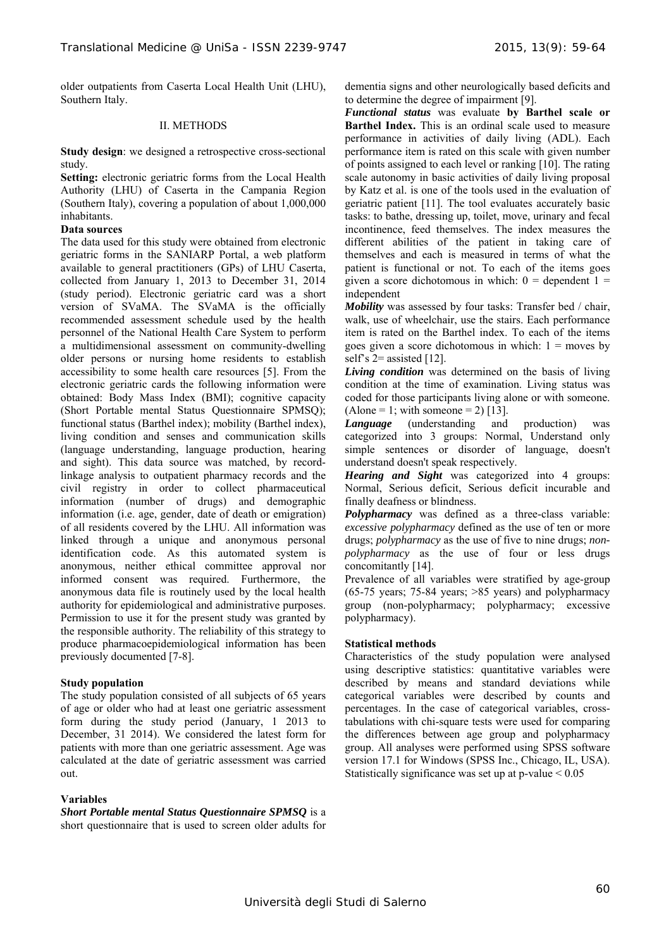older outpatients from Caserta Local Health Unit (LHU), Southern Italy.

#### II. METHODS

**Study design:** we designed a retrospective cross-sectional study.

**Setting:** electronic geriatric forms from the Local Health Authority (LHU) of Caserta in the Campania Region (Southern Italy), covering a population of about 1,000,000 inhabitants.

#### **Data sources**

The data used for this study were obtained from electronic geriatric forms in the SANIARP Portal, a web platform available to general practitioners (GPs) of LHU Caserta, collected from January 1, 2013 to December 31, 2014 (study period). Electronic geriatric card was a short version of SVaMA. The SVaMA is the officially recommended assessment schedule used by the health personnel of the National Health Care System to perform a multidimensional assessment on community-dwelling older persons or nursing home residents to establish accessibility to some health care resources [5]. From the electronic geriatric cards the following information were obtained: Body Mass Index (BMI); cognitive capacity (Short Portable mental Status Questionnaire SPMSQ); functional status (Barthel index); mobility (Barthel index), living condition and senses and communication skills (language understanding, language production, hearing and sight). This data source was matched, by recordlinkage analysis to outpatient pharmacy records and the civil registry in order to collect pharmaceutical information (number of drugs) and demographic information (i.e. age, gender, date of death or emigration) of all residents covered by the LHU. All information was linked through a unique and anonymous personal identification code. As this automated system is anonymous, neither ethical committee approval nor informed consent was required. Furthermore, the anonymous data file is routinely used by the local health authority for epidemiological and administrative purposes. Permission to use it for the present study was granted by the responsible authority. The reliability of this strategy to produce pharmacoepidemiological information has been previously documented [7-8].

#### **Study population**

The study population consisted of all subjects of 65 years of age or older who had at least one geriatric assessment form during the study period (January, 1 2013 to December, 31 2014). We considered the latest form for patients with more than one geriatric assessment. Age was calculated at the date of geriatric assessment was carried out.

#### **Variables**

*Short Portable mental Status Questionnaire SPMSQ* is a short questionnaire that is used to screen older adults for dementia signs and other neurologically based deficits and to determine the degree of impairment [9].

*Functional status* was evaluate **by Barthel scale or Barthel Index.** This is an ordinal scale used to measure performance in activities of daily living (ADL). Each performance item is rated on this scale with given number of points assigned to each level or ranking [10]. The rating scale autonomy in basic activities of daily living proposal by Katz et al. is one of the tools used in the evaluation of geriatric patient [11]. The tool evaluates accurately basic tasks: to bathe, dressing up, toilet, move, urinary and fecal incontinence, feed themselves. The index measures the different abilities of the patient in taking care of themselves and each is measured in terms of what the patient is functional or not. To each of the items goes given a score dichotomous in which:  $0 =$  dependent  $1 =$ independent

*Mobility* was assessed by four tasks: Transfer bed / chair, walk, use of wheelchair, use the stairs. Each performance item is rated on the Barthel index. To each of the items goes given a score dichotomous in which:  $1 =$  moves by self's  $2$ = assisted [12].

*Living condition* was determined on the basis of living condition at the time of examination. Living status was coded for those participants living alone or with someone.  $(Alone = 1; with someone = 2) [13].$ 

*Language* (understanding and production) was categorized into 3 groups: Normal, Understand only simple sentences or disorder of language, doesn't understand doesn't speak respectively.

*Hearing and Sight* was categorized into 4 groups: Normal, Serious deficit, Serious deficit incurable and finally deafness or blindness.

*Polypharmacy* was defined as a three-class variable: *excessive polypharmacy* defined as the use of ten or more drugs; *polypharmacy* as the use of five to nine drugs; *nonpolypharmacy* as the use of four or less drugs concomitantly [14].

Prevalence of all variables were stratified by age-group (65-75 years; 75-84 years; >85 years) and polypharmacy group (non-polypharmacy; polypharmacy; excessive polypharmacy).

#### **Statistical methods**

Characteristics of the study population were analysed using descriptive statistics: quantitative variables were described by means and standard deviations while categorical variables were described by counts and percentages. In the case of categorical variables, crosstabulations with chi-square tests were used for comparing the differences between age group and polypharmacy group. All analyses were performed using SPSS software version 17.1 for Windows (SPSS Inc., Chicago, IL, USA). Statistically significance was set up at  $p$ -value  $\leq 0.05$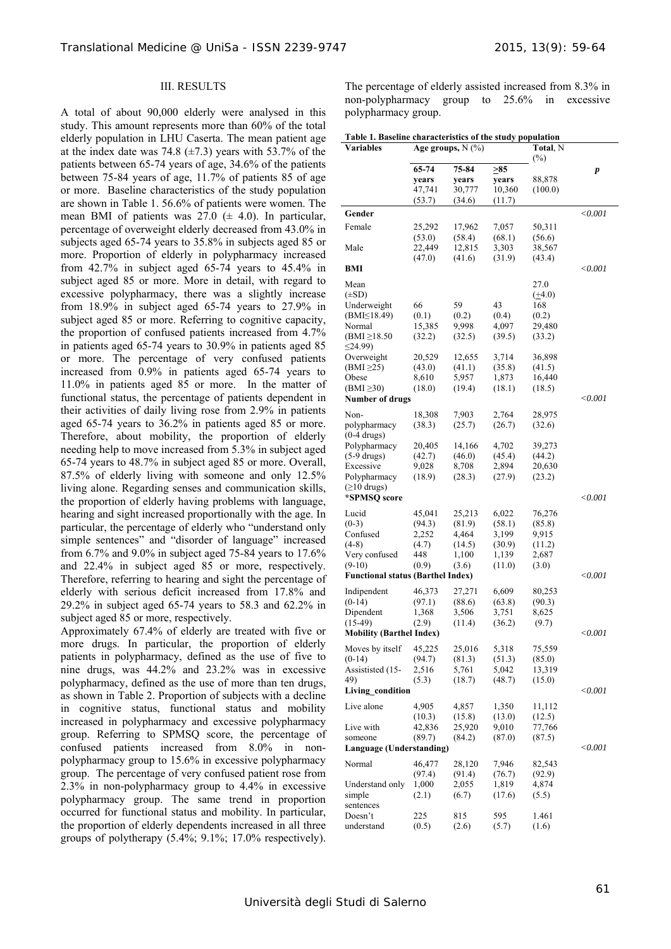### III. RESULTS

A total of about 90,000 elderly were analysed in this study. This amount represents more than 60% of the total elderly population in LHU Caserta. The mean patient age at the index date was 74.8  $(\pm 7.3)$  years with 53.7% of the patients between 65-74 years of age, 34.6% of the patients between 75-84 years of age, 11.7% of patients 85 of age or more. Baseline characteristics of the study population are shown in Table 1. 56.6% of patients were women. The mean BMI of patients was  $27.0 \ (\pm 4.0)$ . In particular, percentage of overweight elderly decreased from 43.0% in subjects aged 65-74 years to 35.8% in subjects aged 85 or more. Proportion of elderly in polypharmacy increased from 42.7% in subject aged 65-74 years to 45.4% in subject aged 85 or more. More in detail, with regard to excessive polypharmacy, there was a slightly increase from 18.9% in subject aged 65-74 years to 27.9% in subject aged 85 or more. Referring to cognitive capacity, the proportion of confused patients increased from 4.7% in patients aged 65-74 years to 30.9% in patients aged 85 or more. The percentage of very confused patients increased from 0.9% in patients aged 65-74 years to 11.0% in patients aged 85 or more. In the matter of functional status, the percentage of patients dependent in their activities of daily living rose from 2.9% in patients aged 65-74 years to 36.2% in patients aged 85 or more. Therefore, about mobility, the proportion of elderly needing help to move increased from 5.3% in subject aged 65-74 years to 48.7% in subject aged 85 or more. Overall, 87.5% of elderly living with someone and only 12.5% living alone. Regarding senses and communication skills, the proportion of elderly having problems with language, hearing and sight increased proportionally with the age. In particular, the percentage of elderly who "understand only simple sentences" and "disorder of language" increased from 6.7% and 9.0% in subject aged 75-84 years to 17.6% and 22.4% in subject aged 85 or more, respectively. Therefore, referring to hearing and sight the percentage of elderly with serious deficit increased from 17.8% and 29.2% in subject aged 65-74 years to 58.3 and 62.2% in subject aged 85 or more, respectively.

Approximately 67.4% of elderly are treated with five or more drugs. In particular, the proportion of elderly patients in polypharmacy, defined as the use of five to nine drugs, was 44.2% and 23.2% was in excessive polypharmacy, defined as the use of more than ten drugs, as shown in Table 2. Proportion of subjects with a decline in cognitive status, functional status and mobility increased in polypharmacy and excessive polypharmacy group. Referring to SPMSQ score, the percentage of confused patients increased from 8.0% in nonpolypharmacy group to 15.6% in excessive polypharmacy group. The percentage of very confused patient rose from 2.3% in non-polypharmacy group to 4.4% in excessive polypharmacy group. The same trend in proportion occurred for functional status and mobility. In particular, the proportion of elderly dependents increased in all three groups of polytherapy  $(5.4\%; 9.1\%; 17.0\%$  respectively).

The percentage of elderly assisted increased from 8.3% in non-polypharmacy group to 25.6% in excessive polypharmacy group.

| Table 1. Baseline characteristics of the study population |                        |        |        |                    |                |  |  |  |
|-----------------------------------------------------------|------------------------|--------|--------|--------------------|----------------|--|--|--|
| Variables                                                 | Age groups, $N$ $(\%)$ |        |        | Total, N<br>$(\%)$ |                |  |  |  |
|                                                           | 65-74                  | 75-84  | >85    |                    | p              |  |  |  |
|                                                           | years                  | years  | years  | 88,878             |                |  |  |  |
|                                                           | 47,741                 | 30,777 | 10,360 | (100.0)            |                |  |  |  |
|                                                           | (53.7)                 | (34.6) | (11.7) |                    |                |  |  |  |
| Gender                                                    |                        |        |        |                    | < 0.001        |  |  |  |
| Female                                                    | 25,292                 | 17,962 | 7,057  | 50,311             |                |  |  |  |
|                                                           | (53.0)                 | (58.4) | (68.1) | (56.6)             |                |  |  |  |
| Male                                                      | 22,449                 | 12,815 | 3,303  | 38,567             |                |  |  |  |
|                                                           | (47.0)                 | (41.6) | (31.9) | (43.4)             |                |  |  |  |
| BMI                                                       |                        |        |        |                    | $<$ 0.001 $\,$ |  |  |  |
| Mean                                                      |                        |        |        | 27.0               |                |  |  |  |
| $(\pm SD)$                                                |                        |        |        | $(+4.0)$           |                |  |  |  |
| Underweight                                               | 66                     | 59     | 43     | 168                |                |  |  |  |
| $(BMI \leq 18.49)$                                        | (0.1)                  | (0.2)  | (0.4)  | (0.2)              |                |  |  |  |
| Normal                                                    | 15,385                 | 9,998  | 4,097  | 29,480             |                |  |  |  |
| $(BMI \geq 18.50$                                         | (32.2)                 | (32.5) | (39.5) | (33.2)             |                |  |  |  |
| $\leq$ 24.99)                                             |                        |        |        |                    |                |  |  |  |
| Overweight                                                | 20,529                 | 12,655 | 3,714  | 36,898             |                |  |  |  |
| $(BMI \geq 25)$                                           | (43.0)                 | (41.1) | (35.8) | (41.5)             |                |  |  |  |
| Obese                                                     | 8,610                  | 5,957  | 1,873  | 16,440             |                |  |  |  |
| $(BMI \geq 30)$                                           | (18.0)                 | (19.4) | (18.1) | (18.5)             |                |  |  |  |
| <b>Number of drugs</b>                                    |                        |        |        |                    | $<$ 0.001 $\,$ |  |  |  |
| Non-                                                      | 18,308                 | 7,903  | 2,764  | 28,975             |                |  |  |  |
| polypharmacy                                              | (38.3)                 | (25.7) | (26.7) | (32.6)             |                |  |  |  |
| $(0-4 \, \text{drugs})$                                   |                        |        |        |                    |                |  |  |  |
| Polypharmacy                                              | 20,405                 | 14,166 | 4,702  | 39,273             |                |  |  |  |
| $(5-9 \text{ drugs})$                                     | (42.7)                 | (46.0) | (45.4) | (44.2)             |                |  |  |  |
| Excessive                                                 | 9,028                  | 8,708  | 2,894  | 20,630             |                |  |  |  |
| Polypharmacy                                              | (18.9)                 | (28.3) | (27.9) | (23.2)             |                |  |  |  |
| $( \geq 10 \text{ drugs})$                                |                        |        |        |                    |                |  |  |  |
| *SPMSQ score                                              |                        |        |        |                    | $<$ 0.001 $\,$ |  |  |  |
| Lucid                                                     | 45,041                 | 25,213 | 6,022  | 76,276             |                |  |  |  |
| $(0-3)$                                                   | (94.3)                 | (81.9) | (58.1) | (85.8)             |                |  |  |  |
| Confused                                                  | 2,252                  | 4,464  | 3,199  | 9,915              |                |  |  |  |
| $(4-8)$                                                   | (4.7)                  | (14.5) | (30.9) | (11.2)             |                |  |  |  |
| Very confused                                             | 448                    | 1,100  | 1,139  | 2,687              |                |  |  |  |
| $(9-10)$                                                  | (0.9)                  | (3.6)  | (11.0) | (3.0)              |                |  |  |  |
| <b>Functional status (Barthel Index)</b>                  |                        |        |        |                    | $<$ 0.001 $\,$ |  |  |  |
| Indipendent                                               | 46,373                 | 27,271 | 6,609  | 80,253             |                |  |  |  |
| $(0-14)$                                                  | (97.1)                 | (88.6) | (63.8) | (90.3)             |                |  |  |  |
| Dipendent                                                 | 1,368                  | 3,506  | 3,751  | 8,625              |                |  |  |  |
| $(15-49)$                                                 | (2.9)                  | (11.4) | (36.2) | (9.7)              |                |  |  |  |
| <b>Mobility (Barthel Index)</b>                           |                        |        |        |                    | $<$ 0.001 $\,$ |  |  |  |
| Moves by itself                                           | 45,225                 | 25,016 | 5,318  | 75,559             |                |  |  |  |
| $(0-14)$                                                  | (94.7)                 | (81.3) | (51.3) | (85.0)             |                |  |  |  |
| Assististed (15-                                          | 2,516                  | 5,761  | 5,042  | 13,319             |                |  |  |  |
| 49)                                                       | (5.3)                  | (18.7) | (48.7) | (15.0)             |                |  |  |  |
| Living_condition                                          |                        |        |        |                    | $<$ 0.001 $\,$ |  |  |  |
| Live alone                                                | 4,905                  | 4,857  | 1,350  | 11,112             |                |  |  |  |
|                                                           | (10.3)                 | (15.8) | (13.0) | (12.5)             |                |  |  |  |
| Live with                                                 | 42,836                 | 25,920 | 9,010  | 77,766             |                |  |  |  |
| someone                                                   | (89.7)                 | (84.2) | (87.0) | (87.5)             |                |  |  |  |
| <b>Language (Understanding)</b>                           |                        |        |        |                    | $<$ 0.001 $\,$ |  |  |  |
| Normal                                                    | 46,477                 | 28,120 | 7,946  | 82,543             |                |  |  |  |
|                                                           | (97.4)                 | (91.4) | (76.7) | (92.9)             |                |  |  |  |
| Understand only                                           | 1,000                  | 2,055  | 1,819  | 4,874              |                |  |  |  |
| simple                                                    | (2.1)                  | (6.7)  | (17.6) | (5.5)              |                |  |  |  |
| sentences                                                 |                        |        |        |                    |                |  |  |  |
| Doesn't                                                   | 225                    | 815    | 595    | 1.461              |                |  |  |  |
| understand                                                | (0.5)                  | (2.6)  | (5.7)  | (1.6)              |                |  |  |  |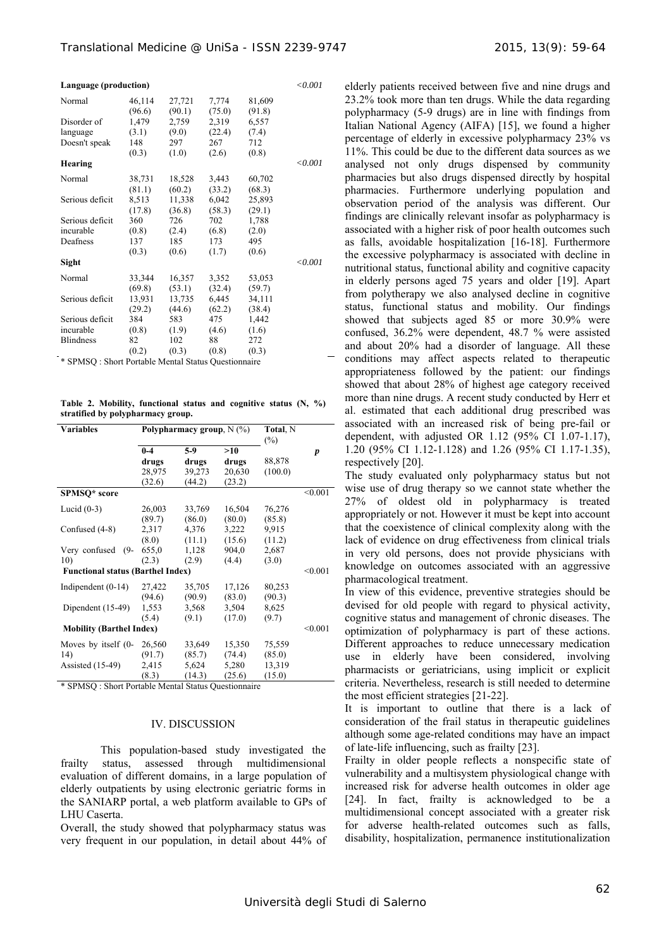| Language (production) |        |        |        |        |         |  |
|-----------------------|--------|--------|--------|--------|---------|--|
| Normal                | 46,114 | 27,721 | 7,774  | 81,609 |         |  |
|                       | (96.6) | (90.1) | (75.0) | (91.8) |         |  |
| Disorder of           | 1,479  | 2,759  | 2,319  | 6,557  |         |  |
| language              | (3.1)  | (9.0)  | (22.4) | (7.4)  |         |  |
| Doesn't speak         | 148    | 297    | 267    | 712    |         |  |
|                       | (0.3)  | (1.0)  | (2.6)  | (0.8)  |         |  |
| Hearing               |        |        |        |        | < 0.001 |  |
| Normal                | 38,731 | 18,528 | 3,443  | 60,702 |         |  |
|                       | (81.1) | (60.2) | (33.2) | (68.3) |         |  |
| Serious deficit       | 8,513  | 11,338 | 6,042  | 25,893 |         |  |
|                       | (17.8) | (36.8) | (58.3) | (29.1) |         |  |
| Serious deficit       | 360    | 726    | 702    | 1,788  |         |  |
| incurable             | (0.8)  | (2.4)  | (6.8)  | (2.0)  |         |  |
| Deafness              | 137    | 185    | 173    | 495    |         |  |
|                       | (0.3)  | (0.6)  | (1.7)  | (0.6)  |         |  |
| Sight                 |        |        |        |        | < 0.001 |  |
| Normal                | 33,344 | 16,357 | 3,352  | 53,053 |         |  |
|                       | (69.8) | (53.1) | (32.4) | (59.7) |         |  |
| Serious deficit       | 13,931 | 13,735 | 6,445  | 34,111 |         |  |
|                       | (29.2) | (44.6) | (62.2) | (38.4) |         |  |
| Serious deficit       | 384    | 583    | 475    | 1,442  |         |  |
| incurable             | (0.8)  | (1.9)  | (4.6)  | (1.6)  |         |  |
| <b>Blindness</b>      | 82     | 102    | 88     | 272    |         |  |
|                       | (0.2)  | (0.3)  | (0.8)  | (0.3)  |         |  |

\* SPMSQ : Short Portable Mental Status Questionnaire

**Table 2. Mobility, functional status and cognitive status (N, %) stratified by polypharmacy group.** 

|                                                 |                                    | Total, N<br>$(\%)$                                        |                                                           |                            |  |  |
|-------------------------------------------------|------------------------------------|-----------------------------------------------------------|-----------------------------------------------------------|----------------------------|--|--|
| $0 - 4$<br>drugs<br>28,975<br>(32.6)            | $5-9$<br>drugs<br>39,273<br>(44.2) | >10<br>drugs<br>20,630<br>(23.2)                          | 88,878<br>(100.0)                                         | p                          |  |  |
|                                                 |                                    |                                                           |                                                           | < 0.001                    |  |  |
| 26,003                                          | 33,769                             | 16,504                                                    | 76,276                                                    |                            |  |  |
| 2,317                                           | 4,376                              | 3,222                                                     | 9.915                                                     |                            |  |  |
| 655,0<br>(2.3)                                  | 1,128<br>(2.9)                     | 904,0<br>(4.4)                                            | 2,687<br>(3.0)                                            |                            |  |  |
| 10)<br><b>Functional status (Barthel Index)</b> |                                    |                                                           |                                                           |                            |  |  |
| 27,422<br>(94.6)                                | 35,705<br>(90.9)                   | 17,126<br>(83.0)                                          | 80,253<br>(90.3)                                          |                            |  |  |
| 1,553<br>(5.4)                                  | 3,568<br>(9.1)                     | 3,504<br>(17.0)                                           | 8,625<br>(9.7)                                            | < 0.001                    |  |  |
| <b>Mobility (Barthel Index)</b>                 |                                    |                                                           |                                                           |                            |  |  |
| 26,560                                          | 33,649                             | 15,350                                                    | 75,559                                                    |                            |  |  |
| 2,415<br>(8.3)                                  | 5,624<br>(14.3)                    | 5,280<br>(25.6)                                           | 13,319<br>(15.0)                                          |                            |  |  |
|                                                 | (89.7)<br>(8.0)<br>(91.7)          | (86.0)<br>(11.1)<br>(85.7)<br>$\sim$ $\sim$ $\sim$ $\sim$ | Polypharmacy group, $N(\%)$<br>(80.0)<br>(15.6)<br>(74.4) | (85.8)<br>(11.2)<br>(85.0) |  |  |

\* SPMSQ : Short Portable Mental Status Questionnaire

#### IV. DISCUSSION

This population-based study investigated the frailty status, assessed through multidimensional evaluation of different domains, in a large population of elderly outpatients by using electronic geriatric forms in the SANIARP portal, a web platform available to GPs of LHU Caserta.

Overall, the study showed that polypharmacy status was very frequent in our population, in detail about 44% of elderly patients received between five and nine drugs and 23.2% took more than ten drugs. While the data regarding polypharmacy (5-9 drugs) are in line with findings from Italian National Agency (AIFA) [15], we found a higher percentage of elderly in excessive polypharmacy 23% vs 11%. This could be due to the different data sources as we analysed not only drugs dispensed by community pharmacies but also drugs dispensed directly by hospital pharmacies. Furthermore underlying population and observation period of the analysis was different. Our findings are clinically relevant insofar as polypharmacy is associated with a higher risk of poor health outcomes such as falls, avoidable hospitalization [16-18]. Furthermore the excessive polypharmacy is associated with decline in nutritional status, functional ability and cognitive capacity in elderly persons aged 75 years and older [19]. Apart from polytherapy we also analysed decline in cognitive status, functional status and mobility. Our findings showed that subjects aged 85 or more 30.9% were confused, 36.2% were dependent, 48.7 % were assisted and about 20% had a disorder of language. All these conditions may affect aspects related to therapeutic appropriateness followed by the patient: our findings showed that about 28% of highest age category received more than nine drugs. A recent study conducted by Herr et al. estimated that each additional drug prescribed was associated with an increased risk of being pre-fail or dependent, with adjusted OR 1.12 (95% CI 1.07-1.17), 1.20 (95% CI 1.12-1.128) and 1.26 (95% CI 1.17-1.35), respectively [20].

The study evaluated only polypharmacy status but not wise use of drug therapy so we cannot state whether the 27% of oldest old in polypharmacy is treated appropriately or not. However it must be kept into account that the coexistence of clinical complexity along with the lack of evidence on drug effectiveness from clinical trials in very old persons, does not provide physicians with knowledge on outcomes associated with an aggressive pharmacological treatment.

In view of this evidence, preventive strategies should be devised for old people with regard to physical activity, cognitive status and management of chronic diseases. The optimization of polypharmacy is part of these actions. Different approaches to reduce unnecessary medication use in elderly have been considered, involving pharmacists or geriatricians, using implicit or explicit criteria. Nevertheless, research is still needed to determine the most efficient strategies [21-22].

It is important to outline that there is a lack of consideration of the frail status in therapeutic guidelines although some age-related conditions may have an impact of late-life influencing, such as frailty [23].

Frailty in older people reflects a nonspecific state of vulnerability and a multisystem physiological change with increased risk for adverse health outcomes in older age [24]. In fact, frailty is acknowledged to be a multidimensional concept associated with a greater risk for adverse health-related outcomes such as falls, disability, hospitalization, permanence institutionalization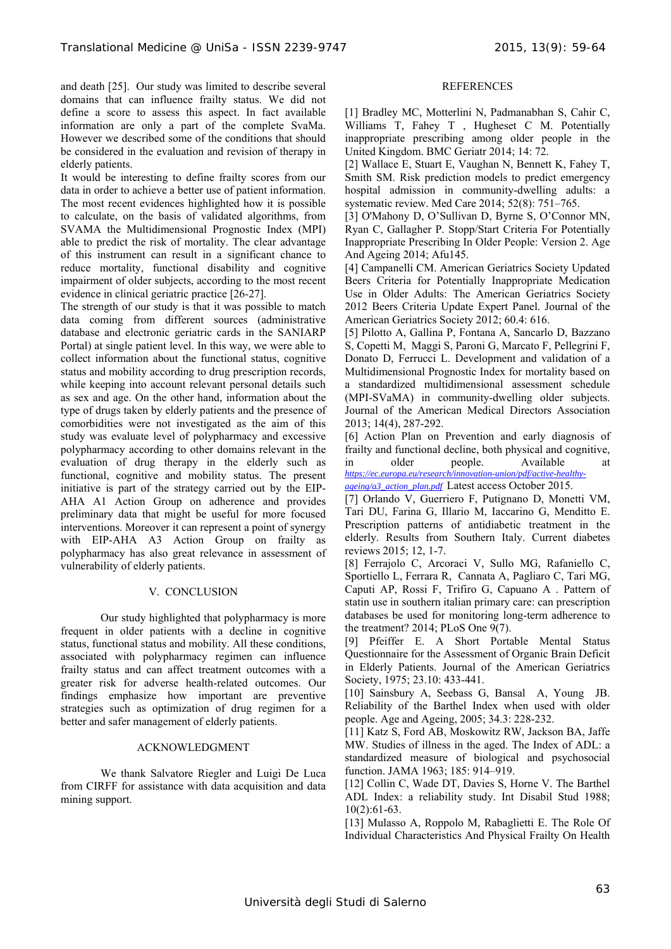and death [25]. Our study was limited to describe several domains that can influence frailty status. We did not define a score to assess this aspect. In fact available information are only a part of the complete SvaMa. However we described some of the conditions that should be considered in the evaluation and revision of therapy in elderly patients.

It would be interesting to define frailty scores from our data in order to achieve a better use of patient information. The most recent evidences highlighted how it is possible to calculate, on the basis of validated algorithms, from SVAMA the Multidimensional Prognostic Index (MPI) able to predict the risk of mortality. The clear advantage of this instrument can result in a significant chance to reduce mortality, functional disability and cognitive impairment of older subjects, according to the most recent evidence in clinical geriatric practice [26-27].

The strength of our study is that it was possible to match data coming from different sources (administrative database and electronic geriatric cards in the SANIARP Portal) at single patient level. In this way, we were able to collect information about the functional status, cognitive status and mobility according to drug prescription records, while keeping into account relevant personal details such as sex and age. On the other hand, information about the type of drugs taken by elderly patients and the presence of comorbidities were not investigated as the aim of this study was evaluate level of polypharmacy and excessive polypharmacy according to other domains relevant in the evaluation of drug therapy in the elderly such as functional, cognitive and mobility status. The present initiative is part of the strategy carried out by the EIP-AHA A1 Action Group on adherence and provides preliminary data that might be useful for more focused interventions. Moreover it can represent a point of synergy with EIP-AHA A3 Action Group on frailty as polypharmacy has also great relevance in assessment of vulnerability of elderly patients.

# V. CONCLUSION

 Our study highlighted that polypharmacy is more frequent in older patients with a decline in cognitive status, functional status and mobility. All these conditions, associated with polypharmacy regimen can influence frailty status and can affect treatment outcomes with a greater risk for adverse health-related outcomes. Our findings emphasize how important are preventive strategies such as optimization of drug regimen for a better and safer management of elderly patients.

# ACKNOWLEDGMENT

 We thank Salvatore Riegler and Luigi De Luca from CIRFF for assistance with data acquisition and data mining support.

## REFERENCES

[1] Bradley MC, Motterlini N, Padmanabhan S, Cahir C, Williams T, Fahey T , Hugheset C M. Potentially inappropriate prescribing among older people in the United Kingdom. BMC Geriatr 2014; 14: 72.

[2] Wallace E, Stuart E, Vaughan N, Bennett K, Fahey T, Smith SM. Risk prediction models to predict emergency hospital admission in community-dwelling adults: a systematic review. Med Care 2014; 52(8): 751–765.

[3] O'Mahony D, O'Sullivan D, Byrne S, O'Connor MN, Ryan C, Gallagher P. Stopp/Start Criteria For Potentially Inappropriate Prescribing In Older People: Version 2. Age And Ageing 2014; Afu145.

[4] Campanelli CM. American Geriatrics Society Updated Beers Criteria for Potentially Inappropriate Medication Use in Older Adults: The American Geriatrics Society 2012 Beers Criteria Update Expert Panel. Journal of the American Geriatrics Society 2012; 60.4: 616.

[5] Pilotto A, Gallina P, Fontana A, Sancarlo D, Bazzano S, Copetti M, Maggi S, Paroni G, Marcato F, Pellegrini F, Donato D, Ferrucci L. Development and validation of a Multidimensional Prognostic Index for mortality based on a standardized multidimensional assessment schedule (MPI-SVaMA) in community-dwelling older subjects. Journal of the American Medical Directors Association 2013; 14(4), 287-292.

[6] Action Plan on Prevention and early diagnosis of frailty and functional decline, both physical and cognitive, in older people. Available at *https://ec.europa.eu/research/innovation-union/pdf/active-healthyageing/a3\_action\_plan.pdf* Latest access October 2015.

[7] Orlando V, Guerriero F, Putignano D, Monetti VM, Tari DU, Farina G, Illario M, Iaccarino G, Menditto E. Prescription patterns of antidiabetic treatment in the elderly. Results from Southern Italy. Current diabetes reviews 2015; 12, 1-7.

[8] Ferrajolo C, Arcoraci V, Sullo MG, Rafaniello C, Sportiello L, Ferrara R, Cannata A, Pagliaro C, Tari MG, Caputi AP, Rossi F, Trifiro G, Capuano A . Pattern of statin use in southern italian primary care: can prescription databases be used for monitoring long-term adherence to the treatment? 2014; PLoS One 9(7).

[9] Pfeiffer E. A Short Portable Mental Status Questionnaire for the Assessment of Organic Brain Deficit in Elderly Patients. Journal of the American Geriatrics Society, 1975; 23.10: 433-441.

[10] Sainsbury A, Seebass G, Bansal A, Young JB. Reliability of the Barthel Index when used with older people. Age and Ageing, 2005; 34.3: 228-232.

[11] Katz S, Ford AB, Moskowitz RW, Jackson BA, Jaffe MW. Studies of illness in the aged. The Index of ADL: a standardized measure of biological and psychosocial function. JAMA 1963; 185: 914–919.

[12] Collin C, Wade DT, Davies S, Horne V. The Barthel ADL Index: a reliability study. Int Disabil Stud 1988; 10(2):61-63.

[13] Mulasso A, Roppolo M, Rabaglietti E. The Role Of Individual Characteristics And Physical Frailty On Health